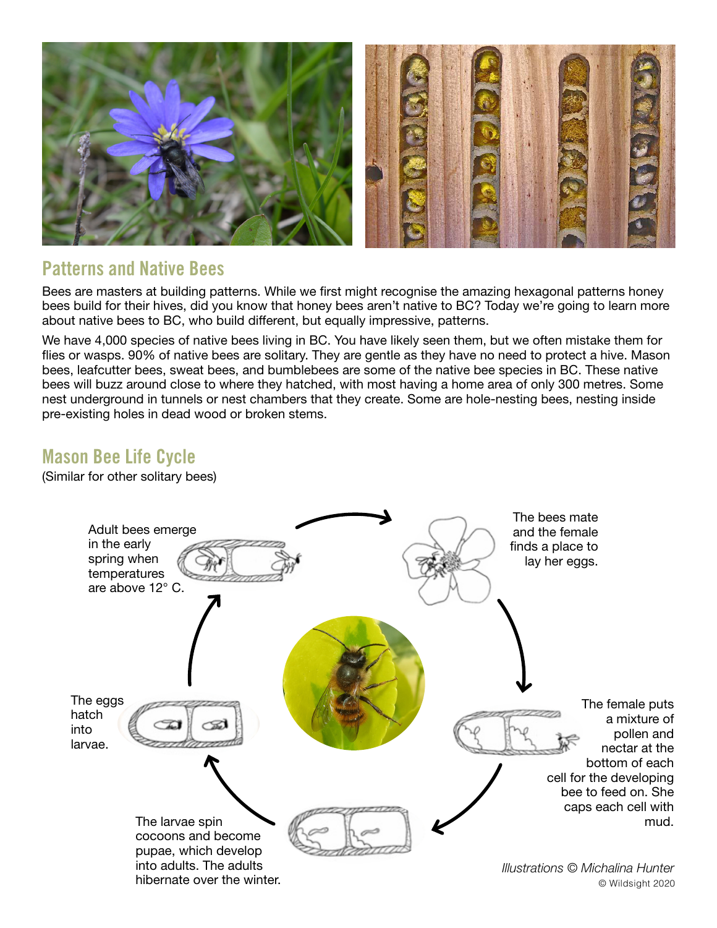

## Patterns and Native Bees

Bees are masters at building patterns. While we first might recognise the amazing hexagonal patterns honey bees build for their hives, did you know that honey bees aren't native to BC? Today we're going to learn more about native bees to BC, who build different, but equally impressive, patterns.

We have 4,000 species of native bees living in BC. You have likely seen them, but we often mistake them for flies or wasps. 90% of native bees are solitary. They are gentle as they have no need to protect a hive. Mason bees, leafcutter bees, sweat bees, and bumblebees are some of the native bee species in BC. These native bees will buzz around close to where they hatched, with most having a home area of only 300 metres. Some nest underground in tunnels or nest chambers that they create. Some are hole-nesting bees, nesting inside pre-existing holes in dead wood or broken stems.

## Mason Bee Life Cycle

(Similar for other solitary bees)